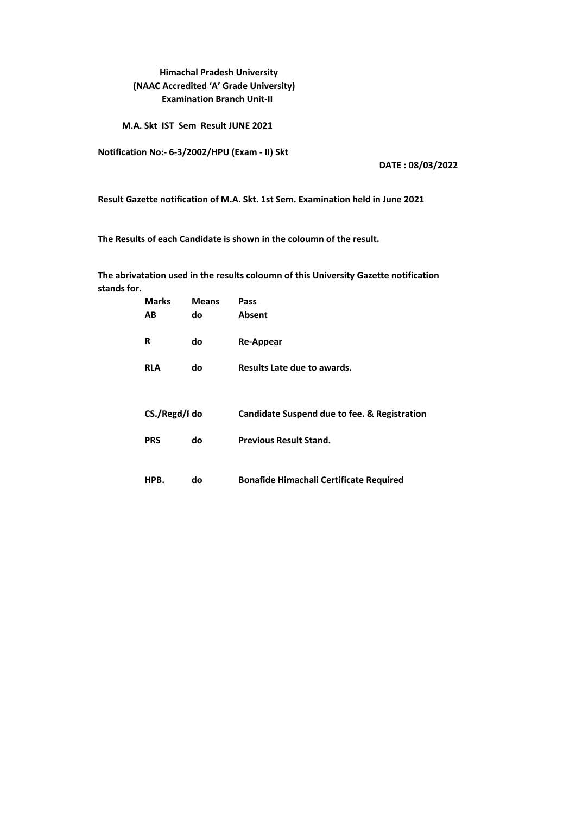#### **Himachal Pradesh University (NAAC Accredited 'A' Grade University) Examination Branch Unit-II**

 **M.A. Skt IST Sem Result JUNE 2021**

**Notification No:- 6-3/2002/HPU (Exam - II) Skt**

**DATE : 08/03/2022**

**Result Gazette notification of M.A. Skt. 1st Sem. Examination held in June 2021**

**The Results of each Candidate is shown in the coloumn of the result.** 

**stands for. The abrivatation used in the results coloumn of this University Gazette notification** 

| <b>Marks</b>  | <b>Means</b> | Pass                                           |
|---------------|--------------|------------------------------------------------|
| AВ            | do           | Absent                                         |
| R             | do           | Re-Appear                                      |
| <b>RLA</b>    | do           | Results Late due to awards.                    |
|               |              |                                                |
| CS./Regd/I do |              | Candidate Suspend due to fee. & Registration   |
| <b>PRS</b>    | do           | <b>Previous Result Stand.</b>                  |
|               |              |                                                |
| HPB.          | do           | <b>Bonafide Himachali Certificate Required</b> |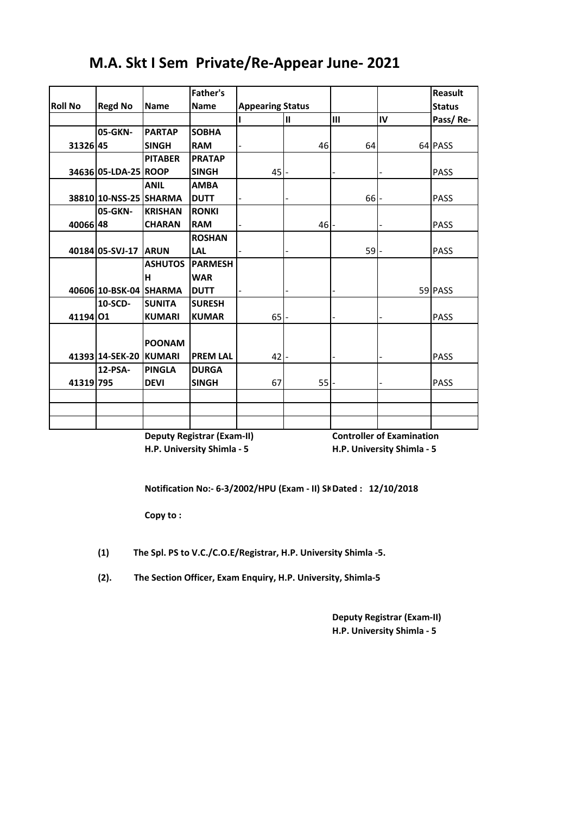|                |                        |                | <b>Father's</b> |                         |               |        |    | Reasult       |
|----------------|------------------------|----------------|-----------------|-------------------------|---------------|--------|----|---------------|
| <b>Roll No</b> | <b>Regd No</b>         | <b>Name</b>    | <b>Name</b>     | <b>Appearing Status</b> |               |        |    | <b>Status</b> |
|                |                        |                |                 |                         | $\mathbf{II}$ | III    | IV | Pass/Re-      |
|                | 05-GKN-                | <b>PARTAP</b>  | <b>SOBHA</b>    |                         |               |        |    |               |
| 31326 45       |                        | <b>SINGH</b>   | <b>RAM</b>      |                         | 46            | 64     |    | 64 PASS       |
|                |                        | <b>PITABER</b> | <b>PRATAP</b>   |                         |               |        |    |               |
|                | 34636 05-LDA-25 ROOP   |                | <b>SINGH</b>    | 45                      |               |        |    | <b>PASS</b>   |
|                |                        | <b>ANIL</b>    | <b>AMBA</b>     |                         |               |        |    |               |
|                | 38810 10-NSS-25 SHARMA |                | <b>DUTT</b>     |                         |               | $66$ - |    | <b>PASS</b>   |
|                | 05-GKN-                | <b>KRISHAN</b> | <b>RONKI</b>    |                         |               |        |    |               |
| 40066 48       |                        | <b>CHARAN</b>  | <b>RAM</b>      |                         | 46            |        |    | <b>PASS</b>   |
|                |                        |                | <b>ROSHAN</b>   |                         |               |        |    |               |
|                | 40184 05-SVJ-17        | <b>ARUN</b>    | <b>LAL</b>      |                         |               | 59 l-  |    | <b>PASS</b>   |
|                |                        | <b>ASHUTOS</b> | <b>PARMESH</b>  |                         |               |        |    |               |
|                |                        | н              | <b>WAR</b>      |                         |               |        |    |               |
|                | 40606 10-BSK-04 SHARMA |                | <b>DUTT</b>     |                         |               |        |    | 59 PASS       |
|                | 10-SCD-                | <b>SUNITA</b>  | <b>SURESH</b>   |                         |               |        |    |               |
| 41194 01       |                        | <b>KUMARI</b>  | <b>KUMAR</b>    | 65                      |               |        |    | <b>PASS</b>   |
|                |                        |                |                 |                         |               |        |    |               |
|                |                        | <b>POONAM</b>  |                 |                         |               |        |    |               |
|                | 41393 14-SEK-20 KUMARI |                | <b>PREM LAL</b> | 42                      |               |        |    | <b>PASS</b>   |
|                | 12-PSA-                | <b>PINGLA</b>  | <b>DURGA</b>    |                         |               |        |    |               |
| 41319 795      |                        | <b>DEVI</b>    | <b>SINGH</b>    | 67                      | 55            |        |    | <b>PASS</b>   |
|                |                        |                |                 |                         |               |        |    |               |
|                |                        |                |                 |                         |               |        |    |               |
|                |                        |                |                 |                         |               |        |    |               |

# **M.A. Skt I Sem Private/Re-Appear June- 2021**

**Deputy Registrar (Exam-II) Controller of Examination H.P. University Shimla - 5 H.P. University Shimla - 5**

Notification No:- 6-3/2002/HPU (Exam - II) Sk Dated : 12/10/2018

**Copy to :**

**(1) The Spl. PS to V.C./C.O.E/Registrar, H.P. University Shimla -5.**

**(2). The Section Officer, Exam Enquiry, H.P. University, Shimla-5**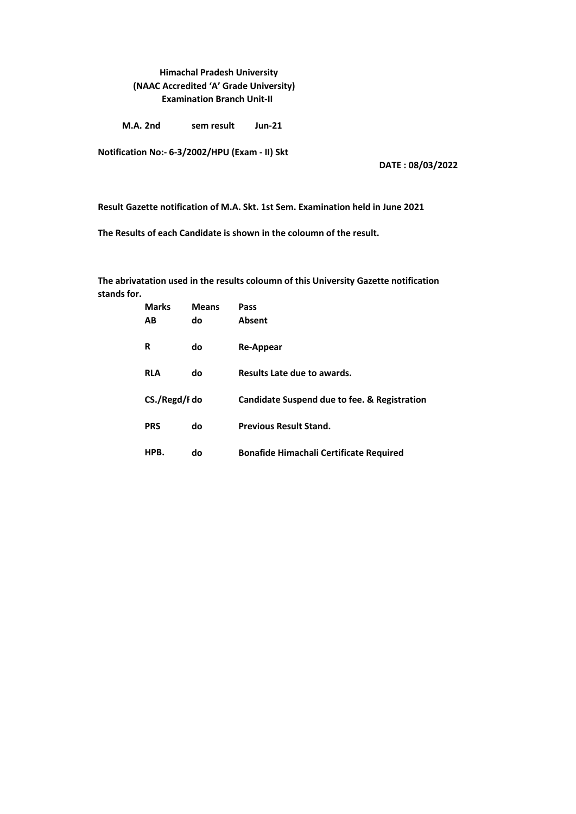### **Himachal Pradesh University (NAAC Accredited 'A' Grade University) Examination Branch Unit-II**

**M.A. 2nd** sem result Jun-21

**Notification No:- 6-3/2002/HPU (Exam - II) Skt**

**DATE : 08/03/2022**

**Result Gazette notification of M.A. Skt. 1st Sem. Examination held in June 2021**

**The Results of each Candidate is shown in the coloumn of the result.** 

**stands for. The abrivatation used in the results coloumn of this University Gazette notification** 

|               | <b>Marks</b> | <b>Means</b> | Pass                                           |
|---------------|--------------|--------------|------------------------------------------------|
|               | АB           | do           | <b>Absent</b>                                  |
|               | R            | do           | <b>Re-Appear</b>                               |
|               | <b>RLA</b>   | do           | Results Late due to awards.                    |
| CS./Regd/I do |              |              | Candidate Suspend due to fee. & Registration   |
|               | <b>PRS</b>   | do           | <b>Previous Result Stand.</b>                  |
|               | HPB.         | do           | <b>Bonafide Himachali Certificate Required</b> |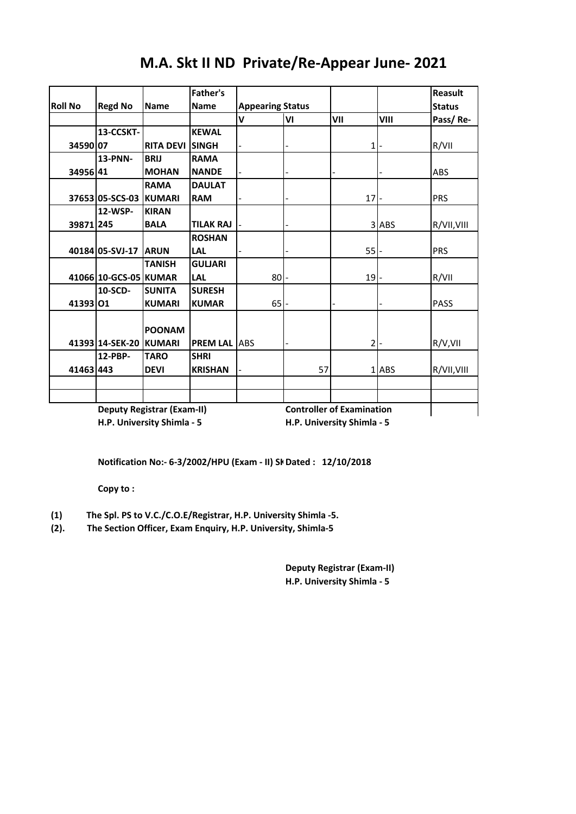|                |                        |                                   | <b>Father's</b>      |                         |    |                                  |       | Reasult       |
|----------------|------------------------|-----------------------------------|----------------------|-------------------------|----|----------------------------------|-------|---------------|
| <b>Roll No</b> | <b>Regd No</b>         | <b>Name</b>                       | <b>Name</b>          | <b>Appearing Status</b> |    |                                  |       | <b>Status</b> |
|                |                        |                                   |                      | $\mathbf v$             | VI | VII                              | VIII  | Pass/Re-      |
|                | 13-CCSKT-              |                                   | <b>KEWAL</b>         |                         |    |                                  |       |               |
| 34590 07       |                        | <b>RITA DEVI</b>                  | <b>SINGH</b>         |                         |    | 1 <sup>1</sup>                   |       | R/VII         |
|                | 13-PNN-                | <b>BRIJ</b>                       | <b>RAMA</b>          |                         |    |                                  |       |               |
| 34956 41       |                        | <b>MOHAN</b>                      | <b>NANDE</b>         |                         |    |                                  |       | <b>ABS</b>    |
|                |                        | <b>RAMA</b>                       | <b>DAULAT</b>        |                         |    |                                  |       |               |
|                | 37653 05-SCS-03 KUMARI |                                   | <b>RAM</b>           |                         |    | 17                               |       | <b>PRS</b>    |
|                | 12-WSP-                | <b>KIRAN</b>                      |                      |                         |    |                                  |       |               |
| 39871 245      |                        | <b>BALA</b>                       | <b>TILAK RAJ</b>     |                         |    |                                  | 3 ABS | R/VII, VIII   |
|                |                        |                                   | <b>ROSHAN</b>        |                         |    |                                  |       |               |
|                | 40184 05-SVJ-17        | <b>ARUN</b>                       | <b>LAL</b>           |                         |    | 55                               |       | <b>PRS</b>    |
|                |                        | <b>TANISH</b>                     | <b>GULJARI</b>       |                         |    |                                  |       |               |
|                | 41066 10-GCS-05 KUMAR  |                                   | <b>LAL</b>           | 80                      |    | 19                               |       | R/VII         |
|                | 10-SCD-                | <b>SUNITA</b>                     | <b>SURESH</b>        |                         |    |                                  |       |               |
| 41393 01       |                        | <b>KUMARI</b>                     | <b>KUMAR</b>         | 65                      |    |                                  |       | <b>PASS</b>   |
|                |                        |                                   |                      |                         |    |                                  |       |               |
|                |                        | <b>POONAM</b>                     |                      |                         |    |                                  |       |               |
|                | 41393 14-SEK-20        | <b>KUMARI</b>                     | <b>PREM LAL LABS</b> |                         |    | $\overline{2}$                   |       | R/V, VII      |
|                | 12-PBP-                | <b>TARO</b>                       | <b>SHRI</b>          |                         |    |                                  |       |               |
| 41463 443      |                        | <b>DEVI</b>                       | <b>KRISHAN</b>       |                         | 57 |                                  | 1 ABS | R/VII, VIII   |
|                |                        |                                   |                      |                         |    |                                  |       |               |
|                |                        |                                   |                      |                         |    |                                  |       |               |
|                |                        | <b>Deputy Registrar (Exam-II)</b> |                      |                         |    | <b>Controller of Examination</b> |       |               |

# **M.A. Skt II ND Private/Re-Appear June- 2021**

**H.P. University Shimla - 5 H.P. University Shimla - 5**

Notification No:- 6-3/2002/HPU (Exam - II) Sk Dated : 12/10/2018

**Copy to :**

**(1) The Spl. PS to V.C./C.O.E/Registrar, H.P. University Shimla -5.**

**(2). The Section Officer, Exam Enquiry, H.P. University, Shimla-5**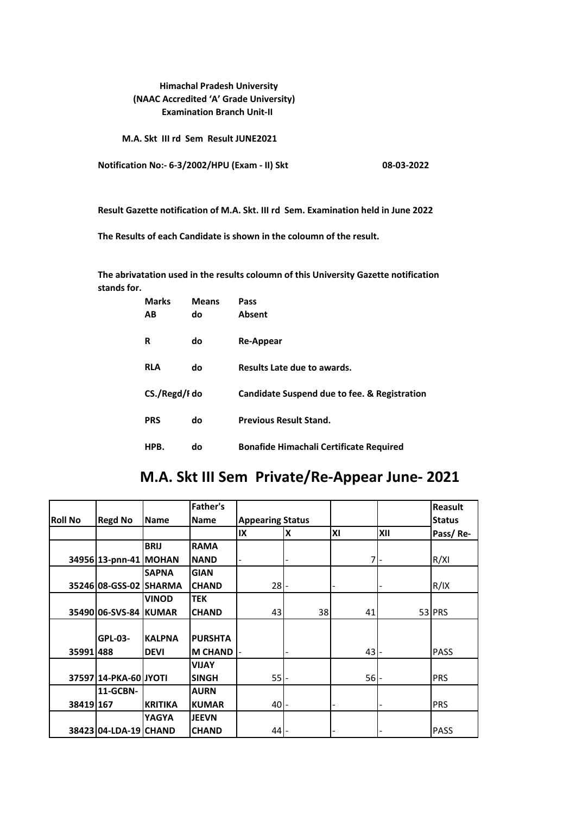#### **Himachal Pradesh University (NAAC Accredited 'A' Grade University) Examination Branch Unit-II**

 **M.A. Skt III rd Sem Result JUNE2021**

**Notification No:- 6-3/2002/HPU (Exam - II) Skt 08-03-2022**

**Result Gazette notification of M.A. Skt. III rd Sem. Examination held in June 2022**

**The Results of each Candidate is shown in the coloumn of the result.** 

**stands for. The abrivatation used in the results coloumn of this University Gazette notification** 

| <b>Marks</b>  | <b>Means</b> | Pass                                           |
|---------------|--------------|------------------------------------------------|
| AB            | do           | <b>Absent</b>                                  |
|               |              |                                                |
| R             | do           | Re-Appear                                      |
| <b>RLA</b>    | do           | Results Late due to awards.                    |
|               |              |                                                |
| CS./Regd/I do |              | Candidate Suspend due to fee. & Registration   |
|               |              |                                                |
| <b>PRS</b>    | do           | <b>Previous Result Stand.</b>                  |
| HPB.          | do           | <b>Bonafide Himachali Certificate Required</b> |
|               |              |                                                |

### **M.A. Skt III Sem Private/Re-Appear June- 2021**

|                |                        |                | <b>Father's</b> |                         |    |        |            | <b>Reasult</b> |
|----------------|------------------------|----------------|-----------------|-------------------------|----|--------|------------|----------------|
| <b>Roll No</b> | <b>Regd No</b>         | <b>Name</b>    | <b>Name</b>     | <b>Appearing Status</b> |    |        |            | <b>Status</b>  |
|                |                        |                |                 | IX                      | ΙX | ΙXΙ    | <b>XII</b> | Pass/Re-       |
|                |                        | <b>BRIJ</b>    | <b>RAMA</b>     |                         |    |        |            |                |
|                | 34956 13-pnn-41 MOHAN  |                | <b>NAND</b>     |                         |    | 7      |            | R/XI           |
|                |                        | <b>SAPNA</b>   | <b>GIAN</b>     |                         |    |        |            |                |
|                | 35246 08-GSS-02 SHARMA |                | <b>CHAND</b>    | $28 -$                  |    |        |            | R/IX           |
|                |                        | <b>VINOD</b>   | <b>TEK</b>      |                         |    |        |            |                |
|                | 35490 06-SVS-84 KUMAR  |                | <b>CHAND</b>    | 43                      | 38 | 41     |            | 53 PRS         |
|                |                        |                |                 |                         |    |        |            |                |
|                | <b>GPL-03-</b>         | <b>KALPNA</b>  | <b>PURSHTA</b>  |                         |    |        |            |                |
| 35991 488      |                        | <b>DEVI</b>    | <b>M CHAND</b>  |                         |    | 43     |            | <b>PASS</b>    |
|                |                        |                | <b>VIJAY</b>    |                         |    |        |            |                |
|                | 37597 14-PKA-60 JYOTI  |                | <b>SINGH</b>    | $55$ -                  |    | $56$ - |            | <b>PRS</b>     |
|                | 11-GCBN-               |                | <b>AURN</b>     |                         |    |        |            |                |
| 38419 167      |                        | <b>KRITIKA</b> | <b>KUMAR</b>    | 40                      |    |        |            | <b>PRS</b>     |
|                |                        | <b>YAGYA</b>   | <b>JEEVN</b>    |                         |    |        |            |                |
|                | 38423 04-LDA-19 CHAND  |                | <b>CHAND</b>    | 44                      |    |        |            | <b>PASS</b>    |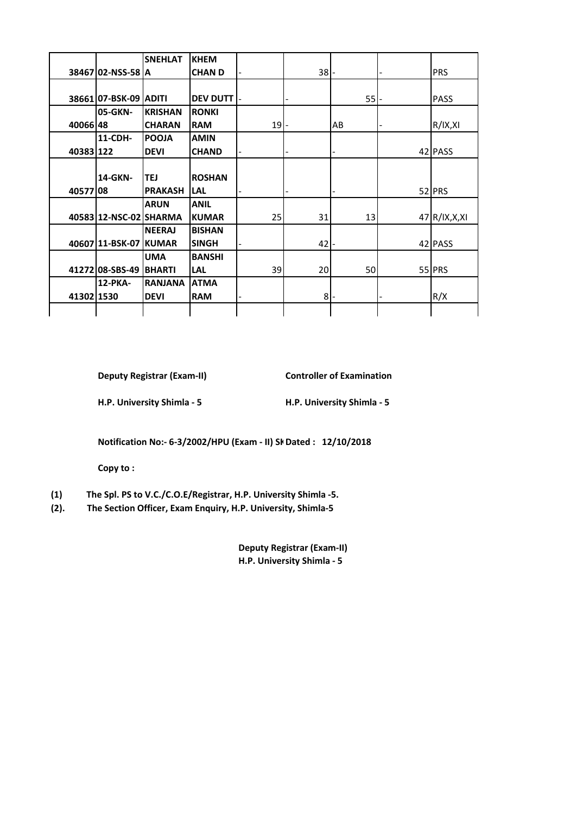|            |                        | <b>SNEHLAT</b> | <b>KHEM</b>     |        |        |    |                |
|------------|------------------------|----------------|-----------------|--------|--------|----|----------------|
|            | 38467 02-NSS-58 A      |                | <b>CHAND</b>    |        | $38$ - |    | <b>PRS</b>     |
|            |                        |                |                 |        |        |    |                |
|            | 38661 07-BSK-09 ADITI  |                | <b>DEV DUTT</b> |        |        | 55 | <b>PASS</b>    |
|            | 05-GKN-                | <b>KRISHAN</b> | <b>RONKI</b>    |        |        |    |                |
| 40066148   |                        | <b>CHARAN</b>  | <b>RAM</b>      | $19$ - |        | AB | R/IX, XI       |
|            | 11-CDH-                | <b>POOJA</b>   | <b>AMIN</b>     |        |        |    |                |
| 40383122   |                        | <b>DEVI</b>    | <b>CHAND</b>    |        |        |    | 42 PASS        |
|            |                        |                |                 |        |        |    |                |
|            | 14-GKN-                | <b>TEJ</b>     | <b>ROSHAN</b>   |        |        |    |                |
| 40577 08   |                        | <b>PRAKASH</b> | <b>LAL</b>      |        |        |    | 52 PRS         |
|            |                        | <b>ARUN</b>    | <b>ANIL</b>     |        |        |    |                |
|            | 40583 12-NSC-02 SHARMA |                | <b>KUMAR</b>    | 25     | 31     | 13 | 47 R/IX, X, XI |
|            |                        | <b>NEERAJ</b>  | <b>BISHAN</b>   |        |        |    |                |
|            | 40607111-BSK-07 KUMAR  |                | <b>SINGH</b>    |        | $42$ - |    | 42 PASS        |
|            |                        | <b>UMA</b>     | <b>BANSHI</b>   |        |        |    |                |
|            | 41272 08-SBS-49        | <b>BHARTI</b>  | <b>LAL</b>      | 39     | 20     | 50 | 55 PRS         |
|            | 12-PKA-                | <b>RANJANA</b> | <b>ATMA</b>     |        |        |    |                |
| 41302 1530 |                        | <b>DEVI</b>    | <b>RAM</b>      |        | $8 -$  |    | R/X            |
|            |                        |                |                 |        |        |    |                |

**Deputy Registrar (Exam-II) Controller of Examination** 

**H.P. University Shimla - 5 H.P. University Shimla - 5**

**Notification No:- 6-3/2002/HPU (Exam - II) Sk Dated : 12/10/2018** 

**Copy to :**

- **(1) The Spl. PS to V.C./C.O.E/Registrar, H.P. University Shimla -5.**
- **(2). The Section Officer, Exam Enquiry, H.P. University, Shimla-5**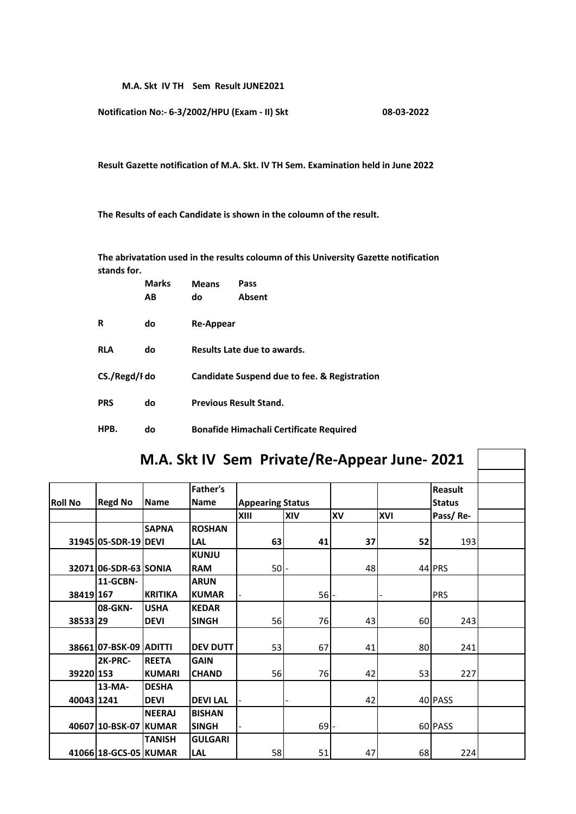**M.A. Skt IV TH Sem Result JUNE2021**

**Notification No:- 6-3/2002/HPU (Exam - II) Skt 08-03-2022**

**Result Gazette notification of M.A. Skt. IV TH Sem. Examination held in June 2022**

**The Results of each Candidate is shown in the coloumn of the result.** 

**stands for. The abrivatation used in the results coloumn of this University Gazette notification** 

|               | <b>Marks</b> | <b>Means</b>                                 | Pass                                           |  |  |  |  |  |
|---------------|--------------|----------------------------------------------|------------------------------------------------|--|--|--|--|--|
|               | АB           | do                                           | <b>Absent</b>                                  |  |  |  |  |  |
|               |              |                                              |                                                |  |  |  |  |  |
| R             | do           | Re-Appear                                    |                                                |  |  |  |  |  |
|               |              |                                              |                                                |  |  |  |  |  |
| <b>RLA</b>    | do           |                                              | Results Late due to awards.                    |  |  |  |  |  |
| CS./Regd/I do |              | Candidate Suspend due to fee. & Registration |                                                |  |  |  |  |  |
|               |              |                                              |                                                |  |  |  |  |  |
| <b>PRS</b>    | do           |                                              | <b>Previous Result Stand.</b>                  |  |  |  |  |  |
|               |              |                                              |                                                |  |  |  |  |  |
| HPB.          | do           |                                              | <b>Bonafide Himachali Certificate Required</b> |  |  |  |  |  |

|                |                        |                |                                |                         |        |           | M.A. Skt IV Sem Private/Re-Appear June- 2021 |                          |  |
|----------------|------------------------|----------------|--------------------------------|-------------------------|--------|-----------|----------------------------------------------|--------------------------|--|
| <b>Roll No</b> | <b>Regd No</b>         | <b>Name</b>    | <b>Father's</b><br><b>Name</b> | <b>Appearing Status</b> |        |           |                                              | Reasult<br><b>Status</b> |  |
|                |                        |                |                                | XIII                    | XIV    | <b>XV</b> | <b>XVI</b>                                   | Pass/Re-                 |  |
|                |                        | <b>SAPNA</b>   | <b>ROSHAN</b>                  |                         |        |           |                                              |                          |  |
|                | 31945 05-SDR-19 DEVI   |                | LAL                            | 63                      | 41     | 37        | 52                                           | 193                      |  |
|                |                        |                | <b>KUNJU</b>                   |                         |        |           |                                              |                          |  |
|                | 32071 06-SDR-63 SONIA  |                | <b>RAM</b>                     | 50                      |        | 48        |                                              | 44 PRS                   |  |
|                | 11-GCBN-               |                | <b>ARUN</b>                    |                         |        |           |                                              |                          |  |
| 38419 167      |                        | <b>KRITIKA</b> | <b>KUMAR</b>                   |                         | 56     |           |                                              | PRS                      |  |
|                | 08-GKN-                | <b>USHA</b>    | <b>KEDAR</b>                   |                         |        |           |                                              |                          |  |
| 38533 29       |                        | <b>DEVI</b>    | <b>SINGH</b>                   | 56                      | 76     | 43        | 60                                           | 243                      |  |
|                | 38661 07-BSK-09 ADITTI |                | <b>DEV DUTT</b>                | 53                      | 67     | 41        | 80                                           | 241                      |  |
|                | 2K-PRC-                | <b>REETA</b>   | <b>GAIN</b>                    |                         |        |           |                                              |                          |  |
| 39220 153      |                        | <b>KUMARI</b>  | <b>CHAND</b>                   | 56                      | 76     | 42        | 53                                           | 227                      |  |
|                | 13-MA-                 | <b>DESHA</b>   |                                |                         |        |           |                                              |                          |  |
| 40043 1241     |                        | <b>DEVI</b>    | <b>DEVILAL</b>                 |                         |        | 42        |                                              | 40 PASS                  |  |
|                |                        | <b>NEERAJ</b>  | <b>BISHAN</b>                  |                         |        |           |                                              |                          |  |
|                | 40607 10-BSK-07 KUMAR  |                | <b>SINGH</b>                   |                         | $69$ - |           |                                              | 60 PASS                  |  |
|                |                        | <b>TANISH</b>  | <b>GULGARI</b>                 |                         |        |           |                                              |                          |  |
|                | 41066 18-GCS-05 KUMAR  |                | <b>LAL</b>                     | 58                      | 51     | 47        | 68                                           | 224                      |  |

 $\mathbb{R}^n$ 

٦